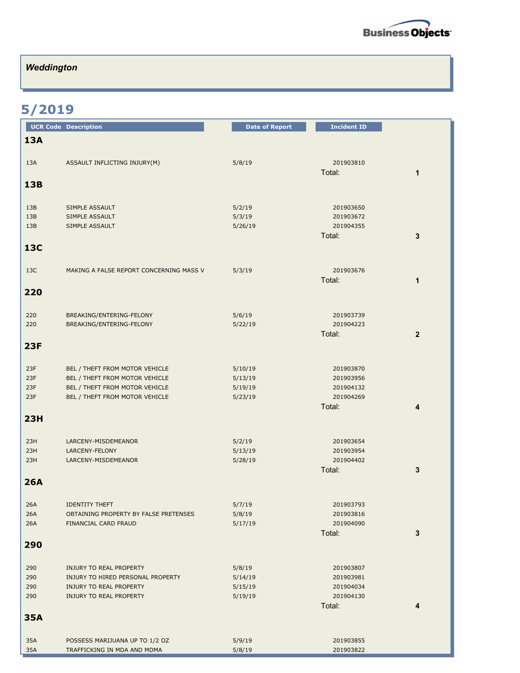

## *Weddington*

## **5/2019**

|            | <b>UCR Code Description</b>                                   | <b>Date of Report</b> | <b>Incident ID</b>     |                |
|------------|---------------------------------------------------------------|-----------------------|------------------------|----------------|
| <b>13A</b> |                                                               |                       |                        |                |
| 13A        | ASSAULT INFLICTING INJURY(M)                                  | 5/8/19                | 201903810<br>Total:    | $\mathbf{1}$   |
| 13B        |                                                               |                       |                        |                |
| 13B        | SIMPLE ASSAULT                                                | 5/2/19                | 201903650              |                |
| 13B        | SIMPLE ASSAULT                                                | 5/3/19                | 201903672              |                |
| 13B        | SIMPLE ASSAULT                                                | 5/26/19               | 201904355              |                |
|            |                                                               |                       | Total:                 | 3              |
| <b>13C</b> |                                                               |                       |                        |                |
| 13C        | MAKING A FALSE REPORT CONCERNING MASS V                       | 5/3/19                | 201903676              |                |
|            |                                                               |                       | Total:                 | 1              |
| 220        |                                                               |                       |                        |                |
| 220        | BREAKING/ENTERING-FELONY                                      | 5/6/19                | 201903739              |                |
| 220        | BREAKING/ENTERING-FELONY                                      | 5/22/19               | 201904223              |                |
|            |                                                               |                       | Total:                 | $\overline{2}$ |
| <b>23F</b> |                                                               |                       |                        |                |
| 23F        | BEL / THEFT FROM MOTOR VEHICLE                                | 5/10/19               | 201903870              |                |
| 23F        | BEL / THEFT FROM MOTOR VEHICLE                                | 5/13/19               | 201903956              |                |
| 23F        | BEL / THEFT FROM MOTOR VEHICLE                                | 5/19/19               | 201904132              |                |
| 23F        | BEL / THEFT FROM MOTOR VEHICLE                                | 5/23/19               | 201904269              |                |
|            |                                                               |                       | Total:                 | 4              |
| 23H        |                                                               |                       |                        |                |
| 23H        | LARCENY-MISDEMEANOR                                           | 5/2/19                | 201903654              |                |
| 23H        | LARCENY-FELONY                                                | 5/13/19               | 201903954              |                |
| 23H        | LARCENY-MISDEMEANOR                                           | 5/28/19               | 201904402              |                |
| <b>26A</b> |                                                               |                       | Total:                 | 3              |
|            |                                                               |                       |                        |                |
| 26A        | <b>IDENTITY THEFT</b>                                         | 5/7/19                | 201903793              |                |
| 26A        | OBTAINING PROPERTY BY FALSE PRETENSES                         | 5/8/19                | 201903816              |                |
| 26A        | FINANCIAL CARD FRAUD                                          | 5/17/19               | 201904090              |                |
| 290        |                                                               |                       | Total:                 | 3              |
|            |                                                               |                       |                        |                |
| 290        | <b>INJURY TO REAL PROPERTY</b>                                | 5/8/19                | 201903807              |                |
| 290        | INJURY TO HIRED PERSONAL PROPERTY                             | 5/14/19               | 201903981              |                |
| 290        | <b>INJURY TO REAL PROPERTY</b>                                | 5/15/19               | 201904034              |                |
| 290        | <b>INJURY TO REAL PROPERTY</b>                                | 5/19/19               | 201904130<br>Total:    | 4              |
| <b>35A</b> |                                                               |                       |                        |                |
|            |                                                               |                       |                        |                |
| 35A<br>35A | POSSESS MARIJUANA UP TO 1/2 OZ<br>TRAFFICKING IN MDA AND MDMA | 5/9/19<br>5/8/19      | 201903855<br>201903822 |                |